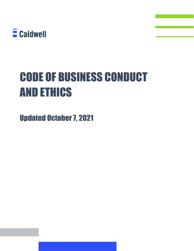

# CODE OF BUSINESS CONDUCT AND ETHICS

Updated October 7, 2021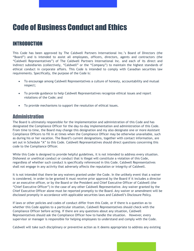## Code of Business Conduct and Ethics

### INTRODUCTION

This Code has been approved by The Caldwell Partners International Inc.'s Board of Directors (the "Board") and is intended to assist all employees, officers, directors, agents and contractors (the "Caldwell Representatives") of The Caldwell Partners International Inc. and each of its direct and indirect subsidiaries (collectively, "Caldwell" or the "Company") to maintain the highest standards of ethical conduct in corporate affairs. This Code is intended to comply with Canadian securities law requirements. Specifically, the purpose of the Code is:

- To encourage among Caldwell Representatives a culture of honesty, accountability and mutual respect;
- To provide guidance to help Caldwell Representatives recognize ethical issues and report violations of the Code; and
- To provide mechanisms to support the resolution of ethical issues.

#### **Administration**

The Board is ultimately responsible for the implementation and administration of this Code and has designated the Compliance Officer for the day-to-day implementation and administration of this Code. From time to time, the Board may change this designation and my also designate one or more Assistant Compliance Officers to fill in at times when the Compliance Officer may be otherwise unavailable, such as during his or her vacation. The Board's current designations, together with contact information, are set out in Schedule "A" to this Code. Caldwell Representatives should direct questions concerning this code to the Compliance Officer.

While this Code is designed to provide helpful guidelines, it is not intended to address every situation. Dishonest or unethical conduct or conduct that is illegal will constitute a violation of this Code, regardless of whether such conduct is specifically referenced in this Code. Caldwell Representatives shall not engage in any activity that adversely affects the reputation or integrity of Caldwell.

It is not intended that there be any waivers granted under the Code. In the unlikely event that a waiver is considered, in order to be granted it must receive prior approval by the Board if it includes a director or an executive officer, or by the Board or the President and Chief Executive Officer of Caldwell (the "Chief Executive Officer") in the case of any other Caldwell Representative. Any waiver granted by the Chief Executive Officer alone must be reported promptly to the Board. Any waiver or amendment will be disclosed promptly in accordance with applicable securities laws and Caldwell's Disclosure Policy.

If laws or other policies and codes of conduct differ from this Code, or if there is a question as to whether this Code applies to a particular situation, Caldwell Representatives should check with the Compliance Officer before acting. If there are any questions about any situation, Caldwell Representatives should ask the Compliance Officer how to handle the situation. However, every supervisor or manager is responsible for helping employees to understand and comply with the Code.

Caldwell will take such disciplinary or preventive action as it deems appropriate to address any existing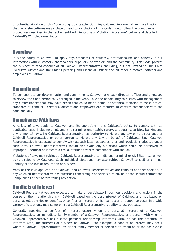or potential violation of this Code brought to its attention. Any Caldwell Representative in a situation that he or she believes may violate or lead to a violation of this Code should follow the compliance procedures described in the section entitled "Reporting of Violations Procedure" below, and detailed in Caldwell's Whistleblower Policy.

### **Overview**

It is the policy of Caldwell to apply high standards of courtesy, professionalism and honesty in our interactions with customers, shareholders, suppliers, co-workers and the community. This Code governs the business-related conduct of all Caldwell Representatives, including, but not limited to, the Chief Executive Officer and the Chief Operating and Financial Officer and all other directors, officers and employees of Caldwell.

### Commitment

To demonstrate our determination and commitment, Caldwell asks each director, officer and employee to review the Code periodically throughout the year. Take the opportunity to discuss with management any circumstances that may have arisen that could be an actual or potential violation of these ethical standards of conduct. Directors, officers and employees are required to confirm compliance with the code annually.

#### Compliance With Laws

A variety of laws apply to Caldwell and its operations. It is Caldwell's policy to comply with all applicable laws, including employment, discrimination, health, safety, antitrust, securities, banking and environmental laws. No Caldwell Representative has authority to violate any law or to direct another Caldwell Representative or other person to violate any law on behalf of Caldwell. Each Caldwell Representative is expected to comply with all such laws, as well as rules and regulations adopted under such laws. Caldwell Representatives should also avoid any situations which could be perceived as improper, unethical or indicate a casual attitude towards compliance with the law.

Violations of laws may subject a Caldwell Representative to individual criminal or civil liability, as well as to discipline by Caldwell. Such individual violations may also subject Caldwell to civil or criminal liability or the loss of reputation or business.

Many of the laws applicable to Caldwell and Caldwell Representatives are complex and fact specific. If any Caldwell Representative has questions concerning a specific situation, he or she should contact the Compliance Officer before taking any action.

### Conflicts of Interest

Caldwell Representatives are expected to make or participate in business decisions and actions in the course of their relationship with Caldwell based on the best interest of Caldwell and not based on personal relationships or benefits. A conflict of interest, which can occur or appear to occur in a wide variety of situations, may compromise a Caldwell Representative's ability to act ethically.

Generally speaking, a conflict of interest occurs when the personal interest of a Caldwell Representative, an immediate family member of a Caldwell Representative, or a person with whom a Caldwell Representative has a close personal relationship interferes with, or has the potential to interfere with, the interests or business of Caldwell. For example, a conflict of interest may occur where a Caldwell Representative, his or her family member or person with whom he or she has a close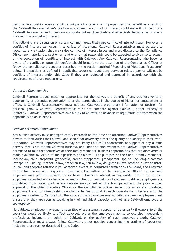personal relationship receives a gift, a unique advantage or an improper personal benefit as a result of the Caldwell Representative's position at Caldwell. A conflict of interest could make it difficult for a Caldwell Representative to perform corporate duties objectively and effectively because he or she is involved in a competing interest.

The following is a discussion of certain common areas that raise conflict of interest issues. However, a conflict of interest can occur in a variety of situations. Caldwell Representatives must be alert to recognize any situation that may raise conflict of interest issues and must disclose to the Compliance Officer any material transaction or relationship that reasonably could be expected to give rise to actual, or the perception of, conflicts of interest with Caldwell. Any Caldwell Representative who becomes aware of a conflict or potential conflict should bring it to the attention of the Compliance Officer or follow the compliance procedures described in the section entitled "Reporting of Violations Procedure" below. Transactions as defined in applicable securities regulations between related parties will not be conflicts of interest under this Code if they are reviewed and approved in accordance with the requirements of those regulations.

#### *Corporate Opportunities*

Caldwell Representatives must not appropriate for themselves the benefit of any business venture, opportunity or potential opportunity he or she learns about in the course of his or her employment or office. A Caldwell Representative must not use Caldwell's proprietary information or position for personal gain. A Caldwell Representative must not compete against Caldwell, either directly or indirectly. Caldwell Representatives owe a duty to Caldwell to advance its legitimate interests when the opportunity to do so arises.

#### *Outside Activities/Employment*

Any outside activity must not significantly encroach on the time and attention Caldwell Representatives devote to their duties for Caldwell and should not adversely affect the quality or quantity of their work. In addition, Caldwell Representatives may not imply Caldwell's sponsorship or support of any outside activity that is not official Caldwell business, and under no circumstances are Caldwell Representatives permitted to take for themselves or their family members' business opportunities that are discovered or made available by virtue of their positions at Caldwell. For purposes of the Code, "family members" include any child, stepchild, grandchild, parent, stepparent, grandparent, spouse (including a common law spouse), sibling, mother-in-law, father-in-law, son-in-law, daughter-in-law, brother-in-law or sisterin-law, and adoptive relationships. Moreover, except as permitted herein or by the Board, the Chairman of the Nominating and Corporate Governance Committee or the Compliance Officer, no Caldwell employee may perform services for or have a financial interest in any entity that is, or to such employee's knowledge may become, a vendor, client or competitor of Caldwell. Caldwell employees are prohibited from taking part in any outside employment or directorships without the prior written approval of the Chief Executive Officer or the Compliance Officer, except for minor and unrelated employment and for directorships on charitable Boards that in each case do not interfere with the employee's duties to Caldwell. In the course of any non-company activity, Caldwell employees must ensure that they are seen as speaking in their individual capacity and not as a Caldwell employee or spokesperson.

No Caldwell employee may acquire securities of a customer, supplier or other party if ownership of the securities would be likely to affect adversely either the employee's ability to exercise independent professional judgment on behalf of Caldwell or the quality of such employee's work. Caldwell Representatives must always follow Caldwell's other policies concerning the trading of securities, including those further described in this Code.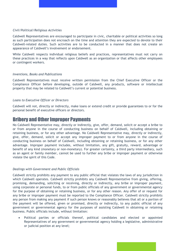#### *Civil/Political/Religious Activities*

Caldwell Representatives are encouraged to participate in civic, charitable or political activities so long as such participation does not encroach on the time and attention they are expected to devote to their Caldwell-related duties. Such activities are to be conducted in a manner that does not create an appearance of Caldwell's involvement or endorsement.

While Caldwell respects individual religious beliefs and practices, representatives must not carry on these practices in a way that reflects upon Caldwell as an organization or that affects other employees or contingent workers.

#### *Inventions, Books and Publications*

Caldwell Representatives must receive written permission from the Chief Executive Officer or the Compliance Officer before developing, outside of Caldwell, any products, software or intellectual property that may be related to Caldwell's current or potential business.

#### *Loans to Executive Officer or Directors*

Caldwell will not, directly or indirectly, make loans or extend credit or provide guarantees to or for the personal benefit of executive officers or directors.

#### Bribery and Other Improper Payments

No Caldwell Representative may, directly or indirectly, give, offer, demand, solicit or accept a bribe to or from anyone in the course of conducting business on behalf of Caldwell, including obtaining or retaining business, or for any other advantage. No Caldwell Representative may, directly or indirectly, give, offer, demand, solicit or accept any improper payment to or from anyone in the course of conducting business on behalf of Caldwell, including obtaining or retaining business, or for any other advantage. Improper payment includes, without limitation, any gift, gratuity, reward, advantage or benefit of any kind (monetary or non-monetary). For greater certainty, a third party intermediary, such as an agent or family member, cannot be used to further any bribe or improper payment or otherwise violate the spirit of this Code.

#### *Dealings with Government and Public Officials*

Caldwell strictly prohibits any payment to any public official that violates the laws of any jurisdiction in which Caldwell operates. Caldwell strictly prohibits any Caldwell Representative from giving, offering, promising, demanding, soliciting or receiving, directly or indirectly, any bribe or improper payment, using corporate or personal funds, to or from public officials of any government or governmental agency for the purpose of obtaining or retaining business, or for any other reason. Any offer of or request for any bribe or improper payment must be reported to the Compliance Officer. Caldwell strictly prohibits any person from making any payment if such person knows or reasonably believes that all or a portion of the payment will be offered, given or promised, directly or indirectly, to any public official of any government or governmental agency for the purposes of assisting Caldwell in obtaining or retaining business. Public officials include, without limitation:

• Political parties or officials thereof, political candidates and elected or appointed Representatives of any government or governmental agency holding a legislative, administrative or judicial position at any level;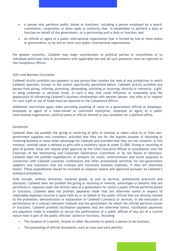- A person who performs public duties or functions, including a person employed by a board, commission, corporation or other body or authority that is established to perform a duty or function on behalf of the government, or is performing such a duty or function; and
- An official or agent of a public international organization that is formed by two or more states or governments, or by two or more such public international organizations.

For greater certainty, Caldwell may make contributions to political parties or committees or to individual politicians only in accordance with applicable law and all such payments must be reported to the Compliance Officer.

#### *Gifts and Business Courtesies*

Caldwell strictly prohibits any payment to any person that violates the laws of any jurisdiction in which Caldwell operates. Except to the extent specifically permitted below, Caldwell strictly prohibits any person from giving, offering, promising, demanding, soliciting or receiving, directly or indirectly, a gift, or using corporate or personal funds, in such a way that could influence or reasonably give the appearance of influencing Caldwell's business relationships with another person. Any offer of or request for such a gift or use of funds must be reported to the Compliance Officer.

Additional restrictions apply when providing anything of value to a government official or employee, employee or agent of a state-owned or controlled enterprise, employee or agent of a public international organization, political party or official thereof or any candidate for a political office.

#### *Exceptions*

Caldwell does not prohibit the giving or receiving of gifts of nominal or token value to or from nongovernment suppliers and customers, provided that they are for the express purpose of obtaining or retaining business or some other advantage for Caldwell and provided that they are not unlawful. In this instance, nominal value is defined as gifts with a monetary value of under \$1,000. Giving or receiving of gifts of greater value will require prior approval by the Chief Executive Officer in consultation with the Chairman of the Nominating and Corporate Governance Committee or by the Board of Directors. Caldwell does not prohibit expenditures of amounts for meals, entertainment and travel expenses in connection with Caldwell customer conferences and other promotional activities for non-government suppliers and customers that are ordinary and customary business expenses, if they are otherwise lawful. These expenditures should be included on expense reports and approved pursuant to Caldwell's standard procedures.

Gifts include, without limitation, material goods, as well as services, promotional premiums and discounts. Caldwell does not prohibit the giving or receiving of rewards, advantages or benefits that are permitted or required under the written laws of a government for which a public official performs duties or functions. Caldwell does not prohibit payments made that are otherwise lawful in respect of reasonable expenses incurred in good faith by or on behalf of the public official that are directly related to the promotion, demonstration or explanation of Caldwell's products or services, or the execution or performance of a contract between Caldwell and the government for which the official performs duties or functions. Caldwell prohibits facilitation payments that are otherwise lawful. Facilitation payments are payments made to expedite or secure the performance of a public official of any act of a routine nature that is part of the public officials' duties or functions, including:

- The issuance of a permit, license or other documents to qualify a person to do business;
- The processing of official documents, such as visas and work permits;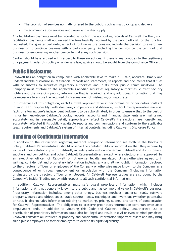- The provision of services normally offered to the public, such as mail pick-up and delivery;
- Telecommunication services and power and water supply.

Any facilitation payments must be recorded as such in the accounting records of Caldwell. Further, such facilitation payments shall not exceed the fees lawfully required by the public official for the function requested. For greater certainty, an act of routine nature does not include the decision to award new business or to continue business with a particular party, including the decision on the terms of that business, or encouraging another person to make any such decision.

Caution should be exercised with respect to these exceptions. If there is any doubt as to the legitimacy of a payment under this policy or under any law, advice should be sought from the Compliance Officer.

#### Public Disclosures

Caldwell has an obligation in compliance with applicable laws to make full, fair, accurate, timely and understandable disclosure in its financial records and statements, in reports and documents that it files with or submits to securities regulatory authorities and in its other public communications. The Company must disclose to the applicable Canadian securities regulatory authorities, current security holders and the investing public, information that is required, and any additional information that may be necessary to ensure the required disclosures are not misleading or inaccurate.

In furtherance of this obligation, each Caldwell Representative in performing his or her duties shall act in good faith, responsibly, with due care, competence and diligence, without misrepresenting material facts or allowing one's independent judgment to be subordinated, in order to ensure that to the best of his or her knowledge Caldwell's books, records, accounts and financial statements are maintained accurately and in reasonable detail, appropriately reflect Caldwell's transactions, are honestly and accurately reflected it its publicly available reports and communications and conform to the applicable legal requirements and Caldwell's system of internal controls, including Caldwell's Disclosure Policy.

### Handling of Confidential Information

In addition to the restrictions regarding material non-public information set forth in the Disclosure Policy, Caldwell Representatives should observe the confidentiality of information that they acquire by virtue of their relationship with Caldwell, including information concerning Caldwell and its customers, suppliers and competitors and other Caldwell Representatives, except where disclosure is approved by an executive officer of Caldwell or otherwise legally mandated. Unless otherwise agreed to in writing, confidential and proprietary information includes any and all non-public information disclosed to the directors, officers or employees of the Company or otherwise made known to the Company as a consequence of or through employment or association with the Company (including information originated by the director, officer or employee). All Caldwell Representatives are also bound by the Company's Insider Trading policy with respect to all such confidential information.

In addition, Caldwell Representatives must safe guard proprietary information, which includes information that is not generally known to the public and has commercial value in Caldwell's business. Proprietary information includes, among other things, business methods, analytical tools, software programs, source and object codes, trade secrets, ideas, techniques and inventions (whether patentable or not). It also includes information relating to marketing, pricing, clients, and terms of compensation for Caldwell Representatives. The obligation to preserve proprietary information continues even after employment ends. In addition to violating this Code and Caldwell policy, unauthorized use or distribution of proprietary information could also be illegal and result in civil or even criminal penalties. Caldwell considers all intellectual property and confidential information important assets and may bring suit against employees or former employees to defend its rights vigorously.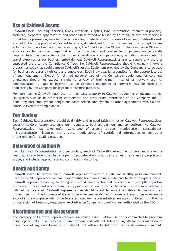### Use of Caldwell Assets

Caldwell assets, including facilities, funds, materials, supplies, time, information, intellectual property, software, corporate opportunities and other assets owned or leased by Caldwell, or that are otherwise in Caldwell's possession, may be used only for legitimate business purposes of Caldwell. Caldwell assets are not to be misappropriated, loaned to others, donated, sold or used for personal use, except for any activities that have been approved in writing by the Chief Executive Officer or the Compliance Officer in advance, or for personal usage that is minor in amount and reasonable. Employees are personally responsible and accountable for the proper expenditure of company funds, including money spent for travel expenses or for business entertainment Caldwell Representatives are to report any theft or suspected theft to the Compliance Officer. No Caldwell Representative should knowingly invoke a program or code that could damage Caldwell's assets. Equipment provided by the Company is to be used for business purposes by officers and employees. Each individual is responsible for the appropriate use of such equipment. Except for limited personal use of the Company's equipment, officers and employees should not expect a right to privacy of their e-mail, Internet or network use. All communication, e-mails or Internet use on Company equipment or networks may be subject to monitoring by the Company for legitimate business purposes.

Members leaving Caldwell must return all company property to Caldwell as soon as employment ends. Obligations such as (i) protecting confidential and proprietary information of the Company and (ii) honouring post-employment obligations contained in employment or other agreements with Caldwell continue even after employment.

### Fair Dealing

Each Caldwell Representative should deal fairly and in good faith with other Caldwell Representatives, security holders, customers, suppliers, regulators, business partners and competitors. No Caldwell Representative may take unfair advantage of anyone through manipulation, concealment, misrepresentation, inappropriate threats, fraud, abuse of confidential information or any other intentional unfair-dealing practice.

### Delegation of Authority

Each Caldwell Representative, and particularly each of Caldwell's executive officers, must exercise reasonable care to ensure that any permitted delegation of authority is reasonable and appropriate in scope, and includes appropriate and continuous monitoring.

### Health and Safety

Caldwell strives to provide each Caldwell Representative with a safe and healthy work environment. Each Caldwell Representative has responsibility for maintaining a safe and healthy workplace for all Caldwell Representatives by following safety and health rules and practices and promptly reporting accidents, injuries and unsafe equipment, practices or conditions. Violence and threatening behaviour will not be tolerated. Caldwell Representatives should report to work in condition to perform their duties, free from the influence of illegal drugs or excessive alcohol. The use of illegal drugs or excessive alcohol in the workplace will not be tolerated. Caldwell representatives are also prohibited from the use or possession of firearms, weapons or explosives on Company property unless authorized by the CEO.

### Discrimination and Harassment

The diversity of Caldwell Representatives is a valued asset. Caldwell is firmly committed to providing equal opportunity in all aspects of employment and will not tolerate any illegal discrimination or harassment of any kind. Examples of conduct that will not be tolerated include derogatory comments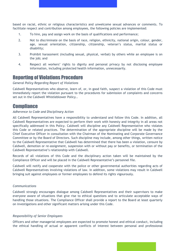based on racial, ethnic or religious characteristics and unwelcome sexual advances or comments. To facilitate respect and contribution among employees, the following policies are implemented:

- 1. To hire, pay and assign work on the basis of qualifications and performance;
- 2. Not to discriminate on the basis of race, religion, ethnicity, national origin, colour, gender, age, sexual orientation, citizenship, citizenship, veteran's status, marital status or disability;
- 3. Prohibit harassment (including sexual, physical, verbal) by others while an employee is on the job; and
- 4. Respect all workers' rights to dignity and personal privacy by not disclosing employee information, including protected health information, unnecessarily.

#### Reporting of Violations Procedure

#### *General Policy Regarding Report of Violations*

Caldwell Representatives who observe, learn of, or, in good faith, suspect a violation of this Code must immediately report the violation pursuant to the procedures for submission of complaints and concerns set out in the Caldwell Whistleblower Policy..

#### **Compliance**

#### *Adherence to Code and Disciplinary Action*

All Caldwell Representatives have a responsibility to understand and follow this Code. In addition, all Caldwell Representatives are expected to perform their work with honesty and integrity in all areas not specifically addressed in this Policy. Caldwell will discipline any Caldwell Representative who violates this Code or related practices. The determination of the appropriate discipline will be made by the Chief Executive Officer in consultation with the Chairman of the Nominating and Corporate Governance Committee or by the Board of Directors. Such discipline may include, among other things, written notice to the Caldwell Representative that Caldwell has determined that there has been a violation, censure by Caldwell, demotion or re-assignment, suspension with or without pay or benefits, or termination of the Caldwell Representative's relationship with Caldwell.

Records of all violations of this Code and the disciplinary action taken will be maintained by the Compliance Officer and will be placed in the Caldwell Representative's personnel file.

Caldwell will notify and cooperate with the police or other governmental authorities regarding acts of Caldwell Representatives involving violations of law. In addition, some violations may result in Caldwell bringing suit against employees or former employees to defend its rights vigourously.

#### *Communications*

Caldwell strongly encourages dialogue among Caldwell Representatives and their supervisors to make everyone aware of situations that give rise to ethical questions and to articulate acceptable ways of handling those situations. The Compliance Officer shall provide a report to the Board at least quarterly on investigations and other significant matters arising under this Code.

#### *Responsibility of Senior Employees*

Officers and other managerial employees are expected to promote honest and ethical conduct, including the ethical handling of actual or apparent conflicts of interest between personal and professional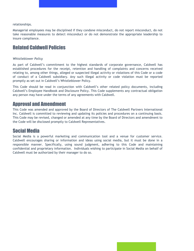relationships.

Managerial employees may be disciplined if they condone misconduct, do not report misconduct, do not take reasonable measures to detect misconduct or do not demonstrate the appropriate leadership to insure compliance.

### Related Caldwell Policies

#### *Whistleblower Policy*

As part of Caldwell's commitment to the highest standards of corporate governance, Caldwell has established procedures for the receipt, retention and handling of complaints and concerns received relating to, among other things, alleged or suspected illegal activity or violations of this Code or a code of conduct of a Caldwell subsidiary. Any such illegal activity or code violation must be reported promptly as set out in Caldwell's Whistleblower Policy.

This Code should be read in conjunction with Caldwell's other related policy documents, including Caldwell's Employee Handbook and Disclosure Policy. This Code supplements any contractual obligation any person may have under the terms of any agreements with Caldwell.

#### Approval and Amendment

This Code was amended and approved by the Board of Directors of The Caldwell Partners International Inc. Caldwell is committed to reviewing and updating its policies and procedures on a continuing basis. This Code may be revised, changed or amended at any time by the Board of Directors and amendment to the Code will be disclosed promptly to Caldwell Representatives.

#### Social Media

Social Media is a powerful marketing and communication tool and a venue for customer service. Caldwell encourages sharing or information and ideas using social media, but it must be done in a responsible manner. Specifically, using sound judgment, adhering to this Code and maintaining confidential and proprietary information. Individuals wishing to participate in Social Media on behalf of Caldwell must be authorized by their manager to do so.